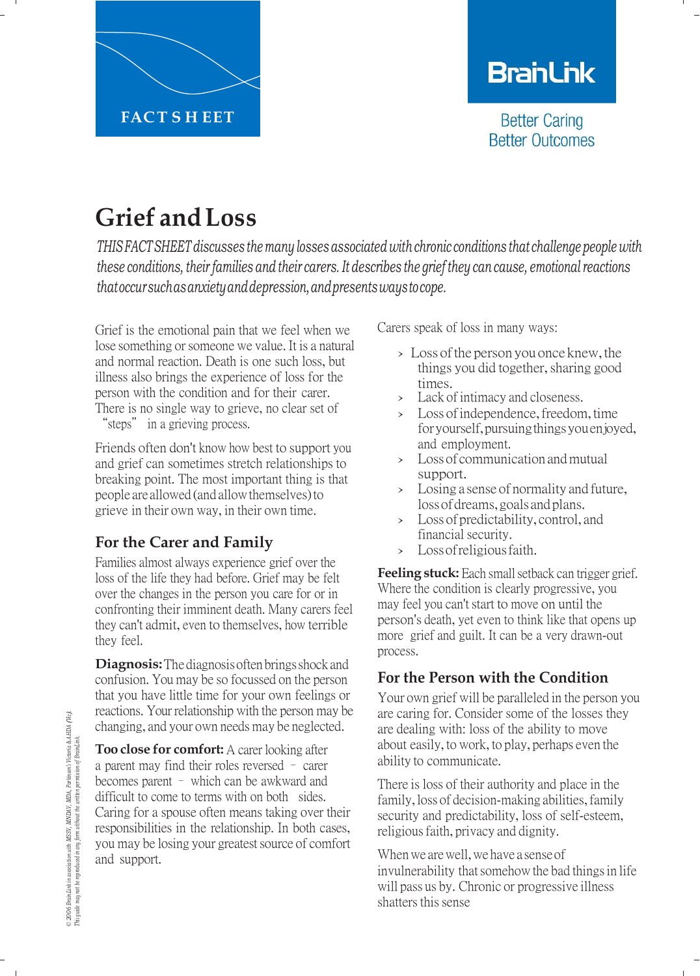

# **BranLink**

**Better Caring Better Outcomes** 

# **Grief andLoss**

*THIS FACTSHEET discusses the many losses associated with chronic conditions that challenge people with these conditions, their families and their carers. It describes the grief they can cause, emotional reactions thatoccursuchasanxietyanddepression,andpresentswaystocope.*

Grief is the emotional pain that we feel when we lose something or someone we value. It is a natural and normal reaction. Death is one such loss, but illness also brings the experience of loss for the person with the condition and for their carer. There is no single way to grieve, no clear set of "steps" in a grieving process.

Friends often don't know how best to support you and grief can sometimes stretch relationships to breaking point. The most important thing is that people are allowed (and allow themselves) to grieve in their own way, in their own time.

## **For the Carer and Family**

Families almost always experience grief over the loss of the life they had before. Grief may be felt over the changes in the person you care for or in confronting their imminent death. Many carers feel they can't admit, even to themselves, how terrible they feel.

**Diagnosis:** The diagnosis often brings shock and confusion. You may be so focussed on the person that you have little time for your own feelings or reactions. Your relationship with the person may be changing, and your own needs may be neglected.

**Too close for comfort:** A carer looking after a parent may find their roles reversed – carer becomes parent – which can be awkward and difficult to come to terms with on both sides. Caring for a spouse often means taking over their responsibilities in the relationship. In both cases, you may be losing your greatest source of comfort and support.

Carers speak of loss in many ways:

- > Loss of the person you once knew, the things you did together, sharing good times.
- › Lack of intimacy and closeness.
- > Loss of independence, freedom, time foryourself,pursuingthingsyouenjoyed, and employment.
- › Lossof communication andmutual support.
- › Losing <sup>a</sup> sense of normality and future, loss of dreams, goals and plans.
- > Loss of predictability, control, and financial security.
- › Lossofreligiousfaith.

**Feeling stuck:** Each small setback can trigger grief. Where the condition is clearly progressive, you may feel you can't start to move on until the person's death, yet even to think like that opens up more grief and guilt. It can be a very drawn-out process.

## **For the Person with the Condition**

Your own grief will be paralleled in the person you are caring for. Consider some of the losses they are dealing with: loss of the ability to move about easily, to work, to play, perhaps even the ability to communicate.

There is loss of their authority and place in the family, loss of decision-making abilities, family security and predictability, loss of self-esteem, religious faith, privacy and dignity.

When we are well, we have a sense of invulnerability that somehow the bad things in life will pass us by. Chronic or progressive illness shatters this sense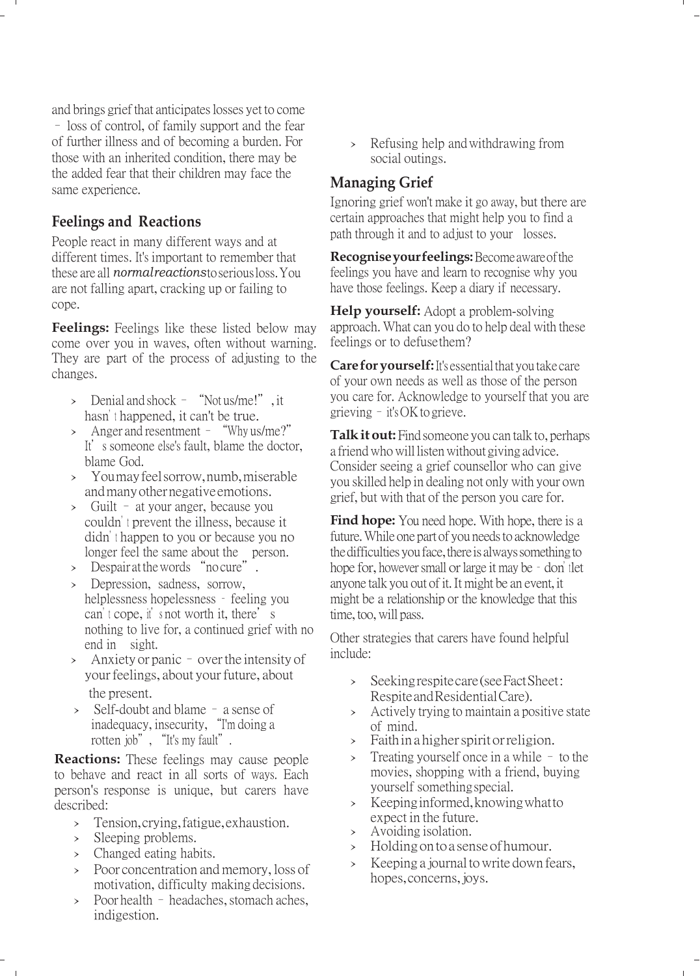and brings grief that anticipates losses yet to come

– loss of control, of family support and the fear of further illness and of becoming a burden. For those with an inherited condition, there may be the added fear that their children may face the same experience.

#### **Feelings and Reactions**

People react in many different ways and at different times. It's important to remember that these are all *normal reactions* toserious loss. You are not falling apart, cracking up or failing to cope.

**Feelings:** Feelings like these listed below may come over you in waves, often without warning. They are part of the process of adjusting to the changes.

- $\geq$  Denial and shock "Not us/me!", it hasn't happened, it can't be true.
- › Anger and resentment "Why us/me?" It's someone else's fault, blame the doctor, blame God.
- › You may feel sorrow, numb, miserable and many other negative emotions.
- › Guilt at your anger, because you couldn't prevent the illness, because it didn't happen to you or because you no longer feel the same about the person.
- > Despair at the words "no cure".
- › Depression, sadness, sorrow, helplessness hopelessness – feeling you can't cope, it's not worth it, there's nothing to live for, a continued grief with no end in sight.
- $\lambda$  Anxiety or panic over the intensity of your feelings, about your future, about the present.
- › Self-doubt and blame a sense of inadequacy, insecurity, "I'm doing a rotten job", "It's my fault".

**Reactions:** These feelings may cause people to behave and react in all sorts of ways. Each person's response is unique, but carers have described:

- › Tension,crying,fatigue,exhaustion.
- › Sleeping problems.
- › Changed eating habits.
- > Poor concentration and memory, loss of motivation, difficulty making decisions.
- $\geq$  Poor health headaches, stomach aches, indigestion.

› Refusing help andwithdrawing from social outings.

#### **Managing Grief**

Ignoring grief won't make it go away, but there are certain approaches that might help you to find a path through it and to adjust to your losses.

**Recognise your feelings:** Become aware of the feelings you have and learn to recognise why you have those feelings. Keep a diary if necessary.

**Help yourself:** Adopt a problem-solving approach. What can you do to help deal with these feelings or to defuse them?

**Care for yourself:** It's essential that you take care of your own needs as well as those of the person you care for. Acknowledge to yourself that you are grieving – it's OK to grieve.

**Talk it out:** Find someone you can talk to, perhaps a friend who will listen without giving advice. Consider seeing a grief counsellor who can give you skilled help in dealing not only with your own grief, but with that of the person you care for.

**Find hope:** You need hope. With hope, there is a future. While one part of you needs to acknowledge the difficulties you face, there is always something to hope for, however small or large it may be - don't let anyone talk you out of it.It might be an event, it might be a relationship or the knowledge that this time, too, will pass.

Other strategies that carers have found helpful include:

- › Seekingrespitecare(seeFactSheet: RespiteandResidentialCare).
- › Actively trying to maintain <sup>a</sup> positive state of mind.
- › Faithin <sup>a</sup> higherspirit orreligion.
- › Treating yourself once in <sup>a</sup> while to the movies, shopping with a friend, buying yourself somethingspecial.
- › Keepinginformed,knowingwhatto expect in the future.
- › Avoiding isolation.
- › Holdingontoa senseofhumour.
- › Keeping <sup>a</sup> journal towrite down fears, hopes,concerns,joys.